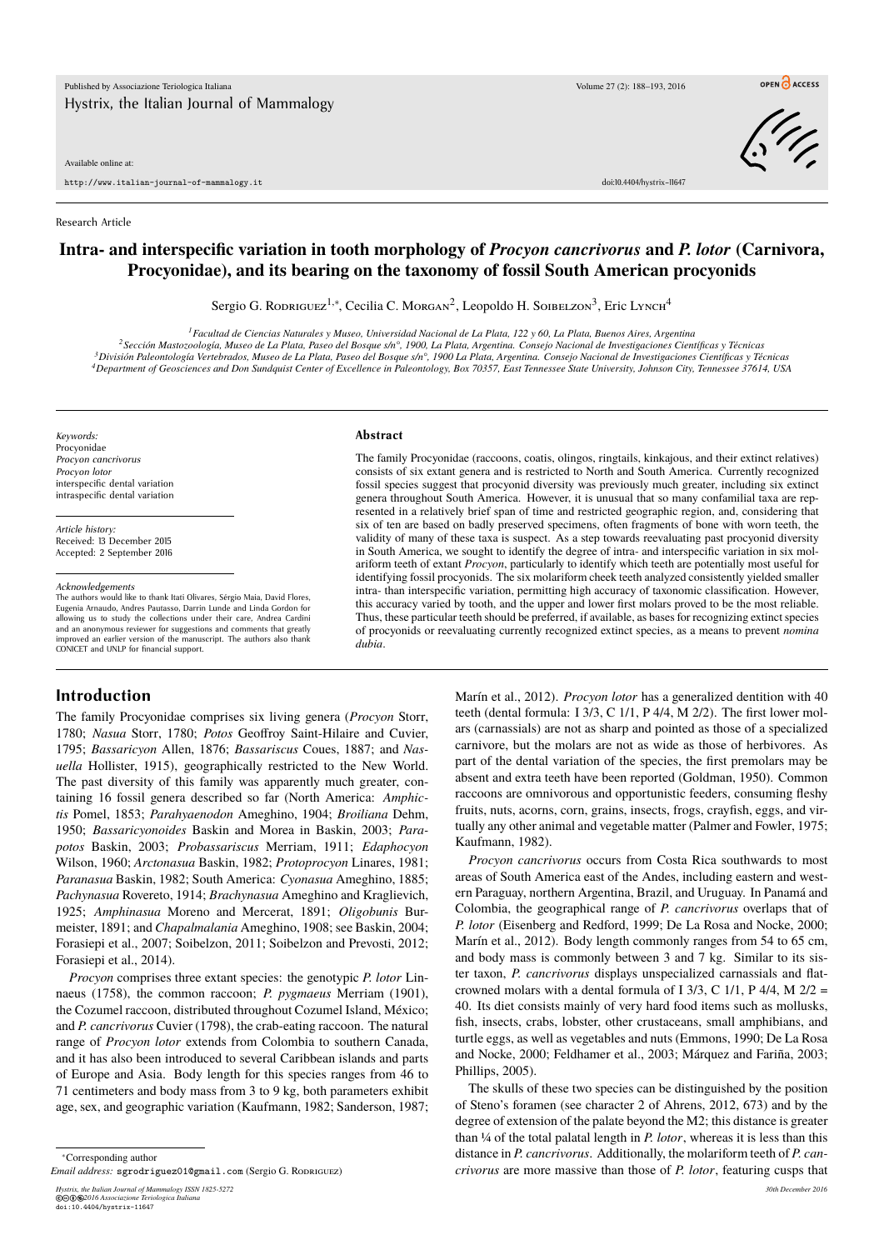Available online at:

http://www.italian-journal-of-mammalogy.it doi:10.4404/hystrix–11647

Research Article

# **Intra- and interspecific variation in tooth morphology of** *Procyon cancrivorus* **and** *P. lotor* **(Carnivora, Procyonidae), and its bearing on the taxonomy of fossil South American procyonids**

Sergio G. Rodriguez<sup>1,∗</sup>, Cecilia C. Morgan<sup>2</sup>, Leopoldo H. Soibelzon<sup>3</sup>, Eric Lynch<sup>4</sup>

*Facultad de Ciencias Naturales y Museo, Universidad Nacional de La Plata, 122 y 60, La Plata, Buenos Aires, Argentina Sección Mastozoología, Museo de La Plata, Paseo del Bosque s/n°, 1900, La Plata, Argentina. Consejo Nacional de Investigaciones Científicas y Técnicas División Paleontología Vertebrados, Museo de La Plata, Paseo del Bosque s/n°, 1900 La Plata, Argentina. Consejo Nacional de Investigaciones Científicas y Técnicas Department of Geosciences and Don Sundquist Center of Excellence in Paleontology, Box 70357, East Tennessee State University, Johnson City, Tennessee 37614, USA*

*Keywords:* Procyonidae *Procyon cancrivorus Procyon lotor* interspecific dental variation intraspecific dental variation

*Article history:* Received: 13 December 2015 Accepted: 2 September 2016

#### *Acknowledgements*

The authors would like to thank Itati Olivares, Sérgio Maia, David Flores, Eugenia Arnaudo, Andres Pautasso, Darrin Lunde and Linda Gordon for allowing us to study the collections under their care, Andrea Cardini and an anonymous reviewer for suggestions and comments that greatly improved an earlier version of the manuscript. The authors also thank CONICET and UNLP for financial support.

#### **Abstract**

The family Procyonidae (raccoons, coatis, olingos, ringtails, kinkajous, and their extinct relatives) consists of six extant genera and is restricted to North and South America. Currently recognized fossil species suggest that procyonid diversity was previously much greater, including six extinct genera throughout South America. However, it is unusual that so many confamilial taxa are represented in a relatively brief span of time and restricted geographic region, and, considering that six of ten are based on badly preserved specimens, often fragments of bone with worn teeth, the validity of many of these taxa is suspect. As a step towards reevaluating past procyonid diversity in South America, we sought to identify the degree of intra- and interspecific variation in six molariform teeth of extant *Procyon*, particularly to identify which teeth are potentially most useful for identifying fossil procyonids. The six molariform cheek teeth analyzed consistently yielded smaller intra- than interspecific variation, permitting high accuracy of taxonomic classification. However, this accuracy varied by tooth, and the upper and lower first molars proved to be the most reliable. Thus, these particular teeth should be preferred, if available, as bases for recognizing extinct species of procyonids or reevaluating currently recognized extinct species, as a means to prevent *nomina dubia*.

**Introduction**

The family Procyonidae comprises six living genera (*Procyon* Storr, 1780; *Nasua* Storr, 1780; *Potos* Geoffroy Saint-Hilaire and Cuvier, 1795; *Bassaricyon* Allen, 1876; *Bassariscus* Coues, 1887; and *Nasuella* Hollister, 1915), geographically restricted to the New World. The past diversity of this family was apparently much greater, containing 16 fossil genera described so far (North America: *Amphictis* Pomel, 1853; *Parahyaenodon* Ameghino, 1904; *Broiliana* Dehm, 1950; *Bassaricyonoides* Baskin and Morea in Baskin, 2003; *Parapotos* Baskin, 2003; *Probassariscus* Merriam, 1911; *Edaphocyon* Wilson, 1960; *Arctonasua* Baskin, 1982; *Protoprocyon* Linares, 1981; *Paranasua* Baskin, 1982; South America: *Cyonasua* Ameghino, 1885; *Pachynasua* Rovereto, 1914; *Brachynasua* Ameghino and Kraglievich, 1925; *Amphinasua* Moreno and Mercerat, 1891; *Oligobunis* Burmeister, 1891; and *Chapalmalania* Ameghino, 1908; see Baskin, 2004; Forasiepi et al., 2007; Soibelzon, 2011; Soibelzon and Prevosti, 2012; Forasiepi et al., 2014).

*Procyon* comprises three extant species: the genotypic *P. lotor* Linnaeus (1758), the common raccoon; *P. pygmaeus* Merriam (1901), the Cozumel raccoon, distributed throughout Cozumel Island, México; and *P. cancrivorus* Cuvier (1798), the crab-eating raccoon. The natural range of *Procyon lotor* extends from Colombia to southern Canada, and it has also been introduced to several Caribbean islands and parts of Europe and Asia. Body length for this species ranges from 46 to 71 centimeters and body mass from 3 to 9 kg, both parameters exhibit age, sex, and geographic variation (Kaufmann, 1982; Sanderson, 1987;

*Hystrix, the Italian Journal of Mammalogy ISSN 1825-5272 30th December 2016* **©©⊕©**2016 Associazione Teriologica Italiana<br>doi:10.4404/hystrix=11647

Marín et al., 2012). *Procyon lotor* has a generalized dentition with 40 teeth (dental formula: I 3/3, C 1/1, P 4/4, M 2/2). The first lower molars (carnassials) are not as sharp and pointed as those of a specialized carnivore, but the molars are not as wide as those of herbivores. As part of the dental variation of the species, the first premolars may be absent and extra teeth have been reported (Goldman, 1950). Common raccoons are omnivorous and opportunistic feeders, consuming fleshy fruits, nuts, acorns, corn, grains, insects, frogs, crayfish, eggs, and virtually any other animal and vegetable matter (Palmer and Fowler, 1975; Kaufmann, 1982).

*Procyon cancrivorus* occurs from Costa Rica southwards to most areas of South America east of the Andes, including eastern and western Paraguay, northern Argentina, Brazil, and Uruguay. In Panamá and Colombia, the geographical range of *P. cancrivorus* overlaps that of *P. lotor* (Eisenberg and Redford, 1999; De La Rosa and Nocke, 2000; Marín et al., 2012). Body length commonly ranges from 54 to 65 cm, and body mass is commonly between 3 and 7 kg. Similar to its sister taxon, *P. cancrivorus* displays unspecialized carnassials and flatcrowned molars with a dental formula of I 3/3, C 1/1, P 4/4, M  $2/2 =$ 40. Its diet consists mainly of very hard food items such as mollusks, fish, insects, crabs, lobster, other crustaceans, small amphibians, and turtle eggs, as well as vegetables and nuts (Emmons, 1990; De La Rosa and Nocke, 2000; Feldhamer et al., 2003; Márquez and Fariña, 2003; Phillips, 2005).

The skulls of these two species can be distinguished by the position of Steno's foramen (see character 2 of Ahrens, 2012, 673) and by the degree of extension of the palate beyond the M2; this distance is greater than ¼ of the total palatal length in *P. lotor*, whereas it is less than this distance in *P. cancrivorus*. Additionally, the molariform teeth of *P. cancrivorus* are more massive than those of *P. lotor*, featuring cusps that



OPEN CACCESS

<sup>∗</sup>Corresponding author

*Email address:* sgrodriguez01@gmail.com (Sergio G. RODRIGUEZ)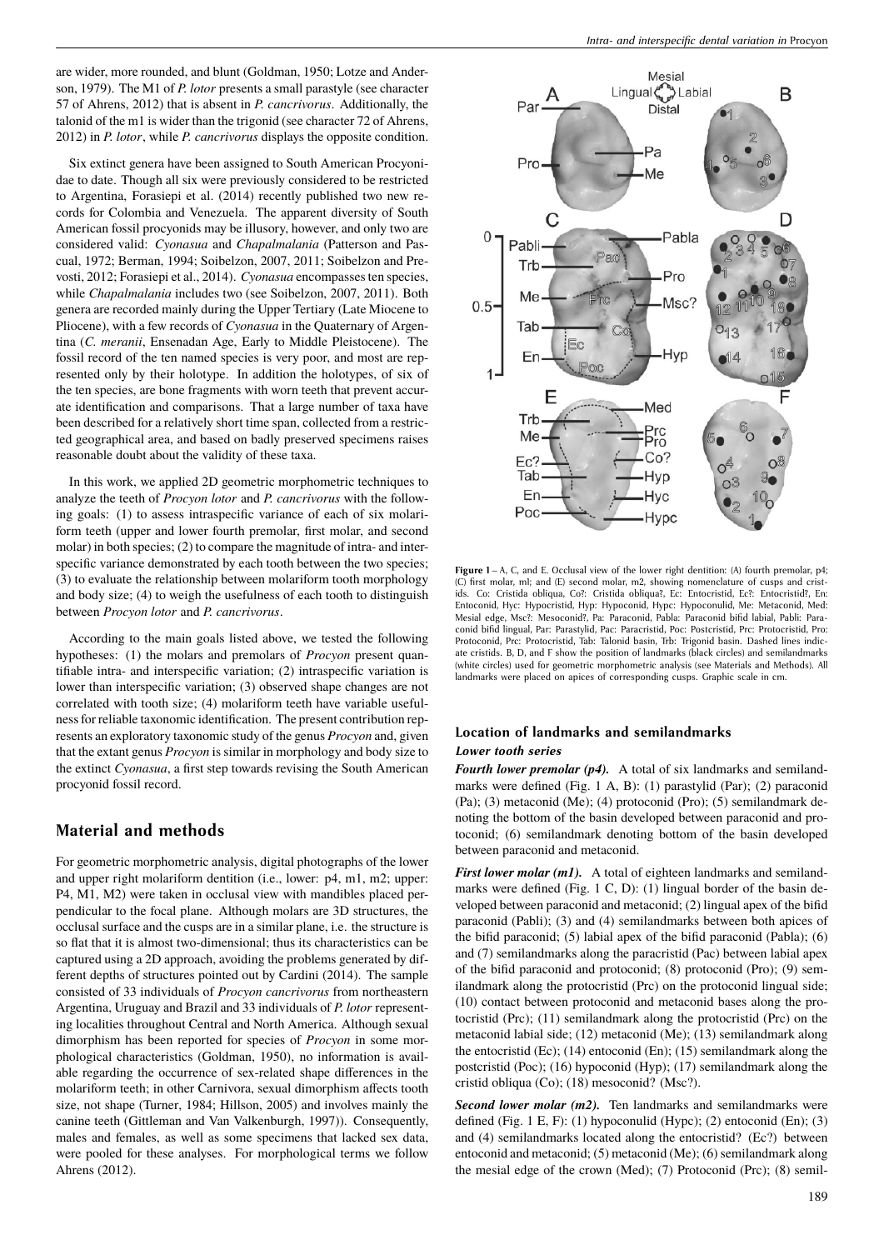are wider, more rounded, and blunt (Goldman, 1950; Lotze and Anderson, 1979). The M1 of *P. lotor* presents a small parastyle (see character 57 of Ahrens, 2012) that is absent in *P. cancrivorus*. Additionally, the talonid of the m1 is wider than the trigonid (see character 72 of Ahrens, 2012) in *P. lotor*, while *P. cancrivorus* displays the opposite condition.

Six extinct genera have been assigned to South American Procyonidae to date. Though all six were previously considered to be restricted to Argentina, Forasiepi et al. (2014) recently published two new records for Colombia and Venezuela. The apparent diversity of South American fossil procyonids may be illusory, however, and only two are considered valid: *Cyonasua* and *Chapalmalania* (Patterson and Pascual, 1972; Berman, 1994; Soibelzon, 2007, 2011; Soibelzon and Prevosti, 2012; Forasiepi et al., 2014). *Cyonasua* encompasses ten species, while *Chapalmalania* includes two (see Soibelzon, 2007, 2011). Both genera are recorded mainly during the Upper Tertiary (Late Miocene to Pliocene), with a few records of *Cyonasua* in the Quaternary of Argentina (*C. meranii*, Ensenadan Age, Early to Middle Pleistocene). The fossil record of the ten named species is very poor, and most are represented only by their holotype. In addition the holotypes, of six of the ten species, are bone fragments with worn teeth that prevent accurate identification and comparisons. That a large number of taxa have been described for a relatively short time span, collected from a restricted geographical area, and based on badly preserved specimens raises reasonable doubt about the validity of these taxa.

In this work, we applied 2D geometric morphometric techniques to analyze the teeth of *Procyon lotor* and *P. cancrivorus* with the following goals: (1) to assess intraspecific variance of each of six molariform teeth (upper and lower fourth premolar, first molar, and second molar) in both species; (2) to compare the magnitude of intra- and interspecific variance demonstrated by each tooth between the two species; (3) to evaluate the relationship between molariform tooth morphology and body size; (4) to weigh the usefulness of each tooth to distinguish between *Procyon lotor* and *P. cancrivorus*.

According to the main goals listed above, we tested the following hypotheses: (1) the molars and premolars of *Procyon* present quantifiable intra- and interspecific variation; (2) intraspecific variation is lower than interspecific variation; (3) observed shape changes are not correlated with tooth size; (4) molariform teeth have variable usefulness for reliable taxonomic identification. The present contribution represents an exploratory taxonomic study of the genus *Procyon* and, given that the extant genus *Procyon* is similar in morphology and body size to the extinct *Cyonasua*, a first step towards revising the South American procyonid fossil record.

## **Material and methods**

For geometric morphometric analysis, digital photographs of the lower and upper right molariform dentition (i.e., lower: p4, m1, m2; upper: P4, M1, M2) were taken in occlusal view with mandibles placed perpendicular to the focal plane. Although molars are 3D structures, the occlusal surface and the cusps are in a similar plane, i.e. the structure is so flat that it is almost two-dimensional; thus its characteristics can be captured using a 2D approach, avoiding the problems generated by different depths of structures pointed out by Cardini (2014). The sample consisted of 33 individuals of *Procyon cancrivorus* from northeastern Argentina, Uruguay and Brazil and 33 individuals of *P. lotor* representing localities throughout Central and North America. Although sexual dimorphism has been reported for species of *Procyon* in some morphological characteristics (Goldman, 1950), no information is available regarding the occurrence of sex-related shape differences in the molariform teeth; in other Carnivora, sexual dimorphism affects tooth size, not shape (Turner, 1984; Hillson, 2005) and involves mainly the canine teeth (Gittleman and Van Valkenburgh, 1997)). Consequently, males and females, as well as some specimens that lacked sex data, were pooled for these analyses. For morphological terms we follow Ahrens (2012).



**Figure 1** – A, C, and E. Occlusal view of the lower right dentition: (A) fourth premolar, p4; (C) first molar, m1; and (E) second molar, m2, showing nomenclature of cusps and cristids. Co: Cristida obliqua, Co?: Cristida obliqua?, Ec: Entocristid, Ec?: Entocristid?, En: Entoconid, Hyc: Hypocristid, Hyp: Hypoconid, Hypc: Hypoconulid, Me: Metaconid, Med: Mesial edge, Msc?: Mesoconid?, Pa: Paraconid, Pabla: Paraconid bifid labial, Pabli: Paraconid bifid lingual, Par: Parastylid, Pac: Paracristid, Poc: Postcristid, Prc: Protocristid, Pro: Protoconid, Prc: Protocristid, Tab: Talonid basin, Trb: Trigonid basin. Dashed lines indicate cristids. B, D, and F show the position of landmarks (black circles) and semilandmarks (white circles) used for geometric morphometric analysis (see Materials and Methods). All landmarks were placed on apices of corresponding cusps. Graphic scale in cm.

## **Location of landmarks and semilandmarks** *Lower tooth series*

*Fourth lower premolar (p4).* A total of six landmarks and semilandmarks were defined (Fig. 1 A, B): (1) parastylid (Par); (2) paraconid (Pa); (3) metaconid (Me); (4) protoconid (Pro); (5) semilandmark denoting the bottom of the basin developed between paraconid and protoconid; (6) semilandmark denoting bottom of the basin developed between paraconid and metaconid.

*First lower molar (m1).* A total of eighteen landmarks and semilandmarks were defined (Fig. 1 C, D): (1) lingual border of the basin developed between paraconid and metaconid; (2) lingual apex of the bifid paraconid (Pabli); (3) and (4) semilandmarks between both apices of the bifid paraconid; (5) labial apex of the bifid paraconid (Pabla); (6) and (7) semilandmarks along the paracristid (Pac) between labial apex of the bifid paraconid and protoconid; (8) protoconid (Pro); (9) semilandmark along the protocristid (Prc) on the protoconid lingual side; (10) contact between protoconid and metaconid bases along the protocristid (Prc); (11) semilandmark along the protocristid (Prc) on the metaconid labial side; (12) metaconid (Me); (13) semilandmark along the entocristid (Ec); (14) entoconid (En); (15) semilandmark along the postcristid (Poc); (16) hypoconid (Hyp); (17) semilandmark along the cristid obliqua (Co); (18) mesoconid? (Msc?).

*Second lower molar (m2).* Ten landmarks and semilandmarks were defined (Fig. 1 E, F): (1) hypoconulid (Hypc); (2) entoconid (En); (3) and (4) semilandmarks located along the entocristid? (Ec?) between entoconid and metaconid; (5) metaconid (Me); (6) semilandmark along the mesial edge of the crown (Med); (7) Protoconid (Prc); (8) semil-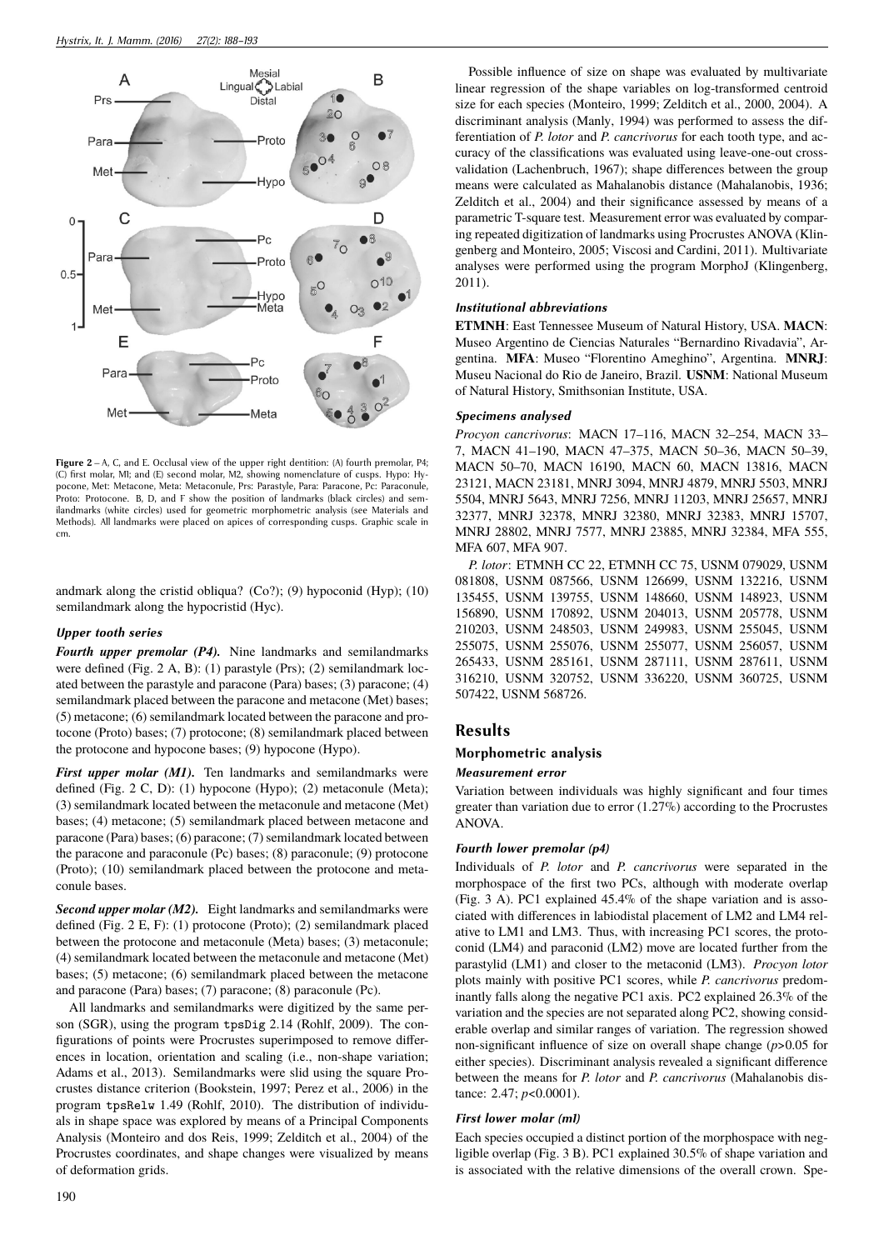

**Figure 2** – A, C, and E. Occlusal view of the upper right dentition: (A) fourth premolar, P4; (C) first molar, M1; and (E) second molar, M2, showing nomenclature of cusps. Hypo: Hypocone, Met: Metacone, Meta: Metaconule, Prs: Parastyle, Para: Paracone, Pc: Paraconule, Proto: Protocone. B, D, and F show the position of landmarks (black circles) and semilandmarks (white circles) used for geometric morphometric analysis (see Materials and Methods). All landmarks were placed on apices of corresponding cusps. Graphic scale in cm.

andmark along the cristid obliqua? (Co?); (9) hypoconid (Hyp);  $(10)$ semilandmark along the hypocristid (Hyc).

#### *Upper tooth series*

*Fourth upper premolar (P4).* Nine landmarks and semilandmarks were defined (Fig. 2 A, B): (1) parastyle (Prs); (2) semilandmark located between the parastyle and paracone (Para) bases; (3) paracone; (4) semilandmark placed between the paracone and metacone (Met) bases; (5) metacone; (6) semilandmark located between the paracone and protocone (Proto) bases; (7) protocone; (8) semilandmark placed between the protocone and hypocone bases; (9) hypocone (Hypo).

*First upper molar (M1)*. Ten landmarks and semilandmarks were defined (Fig. 2 C, D): (1) hypocone (Hypo); (2) metaconule (Meta); (3) semilandmark located between the metaconule and metacone (Met) bases; (4) metacone; (5) semilandmark placed between metacone and paracone (Para) bases; (6) paracone; (7) semilandmark located between the paracone and paraconule (Pc) bases; (8) paraconule; (9) protocone (Proto); (10) semilandmark placed between the protocone and metaconule bases.

*Second upper molar (M2).* Eight landmarks and semilandmarks were defined (Fig. 2 E, F): (1) protocone (Proto); (2) semilandmark placed between the protocone and metaconule (Meta) bases; (3) metaconule; (4) semilandmark located between the metaconule and metacone (Met) bases; (5) metacone; (6) semilandmark placed between the metacone and paracone (Para) bases; (7) paracone; (8) paraconule (Pc).

All landmarks and semilandmarks were digitized by the same person (SGR), using the program tpsDig 2.14 (Rohlf, 2009). The configurations of points were Procrustes superimposed to remove differences in location, orientation and scaling (i.e., non-shape variation; Adams et al., 2013). Semilandmarks were slid using the square Procrustes distance criterion (Bookstein, 1997; Perez et al., 2006) in the program tpsRelw 1.49 (Rohlf, 2010). The distribution of individuals in shape space was explored by means of a Principal Components Analysis (Monteiro and dos Reis, 1999; Zelditch et al., 2004) of the Procrustes coordinates, and shape changes were visualized by means of deformation grids.

Possible influence of size on shape was evaluated by multivariate linear regression of the shape variables on log-transformed centroid size for each species (Monteiro, 1999; Zelditch et al., 2000, 2004). A discriminant analysis (Manly, 1994) was performed to assess the differentiation of *P. lotor* and *P. cancrivorus* for each tooth type, and accuracy of the classifications was evaluated using leave-one-out crossvalidation (Lachenbruch, 1967); shape differences between the group means were calculated as Mahalanobis distance (Mahalanobis, 1936; Zelditch et al., 2004) and their significance assessed by means of a parametric T-square test. Measurement error was evaluated by comparing repeated digitization of landmarks using Procrustes ANOVA (Klingenberg and Monteiro, 2005; Viscosi and Cardini, 2011). Multivariate analyses were performed using the program MorphoJ (Klingenberg, 2011).

### *Institutional abbreviations*

**ETMNH**: East Tennessee Museum of Natural History, USA. **MACN**: Museo Argentino de Ciencias Naturales "Bernardino Rivadavia", Argentina. **MFA**: Museo "Florentino Ameghino", Argentina. **MNRJ**: Museu Nacional do Rio de Janeiro, Brazil. **USNM**: National Museum of Natural History, Smithsonian Institute, USA.

#### *Specimens analysed*

*Procyon cancrivorus*: MACN 17–116, MACN 32–254, MACN 33– 7, MACN 41–190, MACN 47–375, MACN 50–36, MACN 50–39, MACN 50–70, MACN 16190, MACN 60, MACN 13816, MACN 23121, MACN 23181, MNRJ 3094, MNRJ 4879, MNRJ 5503, MNRJ 5504, MNRJ 5643, MNRJ 7256, MNRJ 11203, MNRJ 25657, MNRJ 32377, MNRJ 32378, MNRJ 32380, MNRJ 32383, MNRJ 15707, MNRJ 28802, MNRJ 7577, MNRJ 23885, MNRJ 32384, MFA 555, MFA 607, MFA 907.

*P. lotor*: ETMNH CC 22, ETMNH CC 75, USNM 079029, USNM 081808, USNM 087566, USNM 126699, USNM 132216, USNM 135455, USNM 139755, USNM 148660, USNM 148923, USNM 156890, USNM 170892, USNM 204013, USNM 205778, USNM 210203, USNM 248503, USNM 249983, USNM 255045, USNM 255075, USNM 255076, USNM 255077, USNM 256057, USNM 265433, USNM 285161, USNM 287111, USNM 287611, USNM 316210, USNM 320752, USNM 336220, USNM 360725, USNM 507422, USNM 568726.

## **Results**

### **Morphometric analysis**

#### *Measurement error*

Variation between individuals was highly significant and four times greater than variation due to error (1.27%) according to the Procrustes ANOVA.

### *Fourth lower premolar (p4)*

Individuals of *P. lotor* and *P. cancrivorus* were separated in the morphospace of the first two PCs, although with moderate overlap (Fig. 3 A). PC1 explained 45.4% of the shape variation and is associated with differences in labiodistal placement of LM2 and LM4 relative to LM1 and LM3. Thus, with increasing PC1 scores, the protoconid (LM4) and paraconid (LM2) move are located further from the parastylid (LM1) and closer to the metaconid (LM3). *Procyon lotor* plots mainly with positive PC1 scores, while *P. cancrivorus* predominantly falls along the negative PC1 axis. PC2 explained 26.3% of the variation and the species are not separated along PC2, showing considerable overlap and similar ranges of variation. The regression showed non-significant influence of size on overall shape change (*p*>0.05 for either species). Discriminant analysis revealed a significant difference between the means for *P. lotor* and *P. cancrivorus* (Mahalanobis distance: 2.47; *p*<0.0001).

#### *First lower molar (m1)*

Each species occupied a distinct portion of the morphospace with negligible overlap (Fig. 3 B). PC1 explained 30.5% of shape variation and is associated with the relative dimensions of the overall crown. Spe-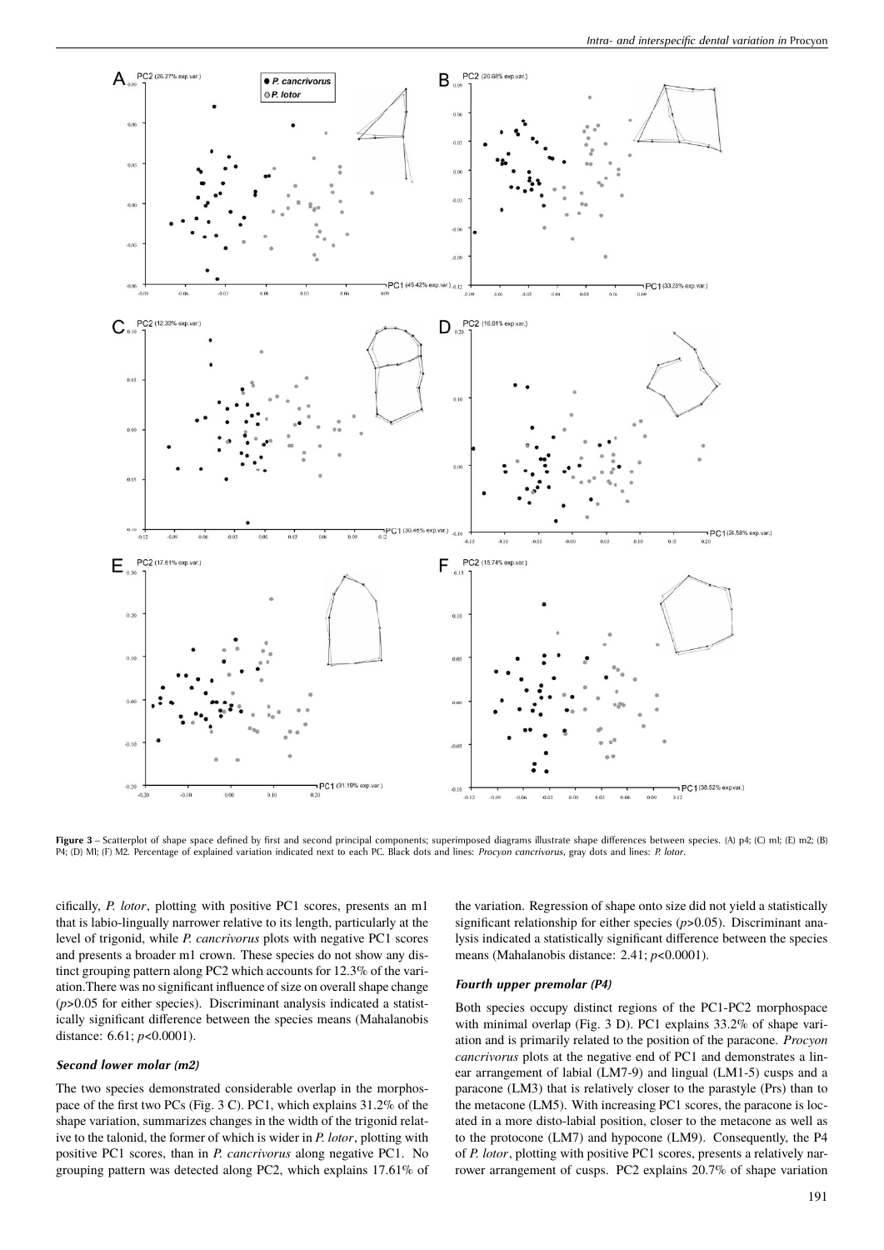

Figure 3 – Scatterplot of shape space defined by first and second principal components; superimposed diagrams illustrate shape differences between species. (A) p4; (C) ml; (E) m2; (B) P4; (D) M1; (F) M2. Percentage of explained variation indicated next to each PC. Black dots and lines: *Procyon cancrivorus*, gray dots and lines: *P. lotor*.

cifically, *P. lotor*, plotting with positive PC1 scores, presents an m1 that is labio-lingually narrower relative to its length, particularly at the level of trigonid, while *P. cancrivorus* plots with negative PC1 scores and presents a broader m1 crown. These species do not show any distinct grouping pattern along PC2 which accounts for 12.3% of the variation.There was no significant influence of size on overall shape change  $(p>0.05$  for either species). Discriminant analysis indicated a statistically significant difference between the species means (Mahalanobis distance: 6.61; *p*<0.0001).

#### *Second lower molar (m2)*

The two species demonstrated considerable overlap in the morphospace of the first two PCs (Fig. 3 C). PC1, which explains 31.2% of the shape variation, summarizes changes in the width of the trigonid relative to the talonid, the former of which is wider in *P. lotor*, plotting with positive PC1 scores, than in *P. cancrivorus* along negative PC1. No grouping pattern was detected along PC2, which explains 17.61% of the variation. Regression of shape onto size did not yield a statistically significant relationship for either species ( $p$ >0.05). Discriminant analysis indicated a statistically significant difference between the species means (Mahalanobis distance: 2.41; *p*<0.0001).

#### *Fourth upper premolar (P4)*

Both species occupy distinct regions of the PC1-PC2 morphospace with minimal overlap (Fig. 3 D). PC1 explains 33.2% of shape variation and is primarily related to the position of the paracone. *Procyon cancrivorus* plots at the negative end of PC1 and demonstrates a linear arrangement of labial (LM7-9) and lingual (LM1-5) cusps and a paracone (LM3) that is relatively closer to the parastyle (Prs) than to the metacone (LM5). With increasing PC1 scores, the paracone is located in a more disto-labial position, closer to the metacone as well as to the protocone (LM7) and hypocone (LM9). Consequently, the P4 of *P. lotor*, plotting with positive PC1 scores, presents a relatively narrower arrangement of cusps. PC2 explains 20.7% of shape variation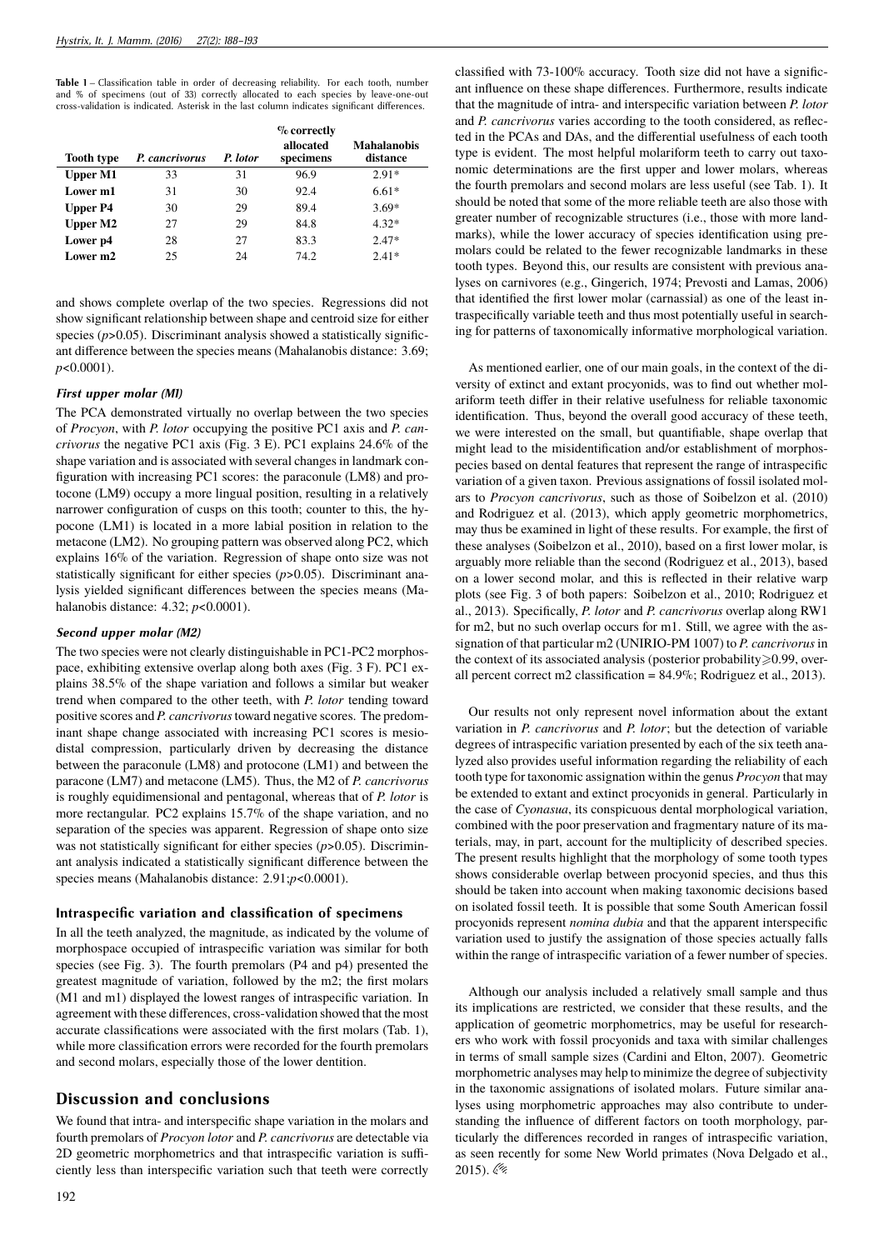**Table 1** – Classification table in order of decreasing reliability. For each tooth, number and % of specimens (out of 33) correctly allocated to each species by leave-one-out cross-validation is indicated. Asterisk in the last column indicates significant differences.

|                   |                | $\%$ correctly |                        |                                |
|-------------------|----------------|----------------|------------------------|--------------------------------|
| <b>Tooth type</b> | P. cancrivorus | P. lotor       | allocated<br>specimens | <b>Mahalanobis</b><br>distance |
| <b>Upper M1</b>   | 33             | 31             | 96.9                   | $2.91*$                        |
| Lower m1          | 31             | 30             | 92.4                   | $6.61*$                        |
| <b>Upper P4</b>   | 30             | 29             | 89.4                   | $3.69*$                        |
| <b>Upper M2</b>   | 27             | 29             | 84.8                   | $4.32*$                        |
| Lower p4          | 28             | 27             | 83.3                   | $2.47*$                        |
| Lower m2          | 25             | 24             | 74.2                   | $2.41*$                        |

and shows complete overlap of the two species. Regressions did not show significant relationship between shape and centroid size for either species ( $p$ >0.05). Discriminant analysis showed a statistically significant difference between the species means (Mahalanobis distance: 3.69; *p*<0.0001).

#### *First upper molar (M1)*

The PCA demonstrated virtually no overlap between the two species of *Procyon*, with *P. lotor* occupying the positive PC1 axis and *P. cancrivorus* the negative PC1 axis (Fig. 3 E). PC1 explains 24.6% of the shape variation and is associated with several changes in landmark configuration with increasing PC1 scores: the paraconule (LM8) and protocone (LM9) occupy a more lingual position, resulting in a relatively narrower configuration of cusps on this tooth; counter to this, the hypocone (LM1) is located in a more labial position in relation to the metacone (LM2). No grouping pattern was observed along PC2, which explains 16% of the variation. Regression of shape onto size was not statistically significant for either species ( $p$ >0.05). Discriminant analysis yielded significant differences between the species means (Mahalanobis distance: 4.32; *p*<0.0001).

#### *Second upper molar (M2)*

The two species were not clearly distinguishable in PC1-PC2 morphospace, exhibiting extensive overlap along both axes (Fig. 3 F). PC1 explains 38.5% of the shape variation and follows a similar but weaker trend when compared to the other teeth, with *P. lotor* tending toward positive scores and *P. cancrivorus*toward negative scores. The predominant shape change associated with increasing PC1 scores is mesiodistal compression, particularly driven by decreasing the distance between the paraconule (LM8) and protocone (LM1) and between the paracone (LM7) and metacone (LM5). Thus, the M2 of *P. cancrivorus* is roughly equidimensional and pentagonal, whereas that of *P. lotor* is more rectangular. PC2 explains 15.7% of the shape variation, and no separation of the species was apparent. Regression of shape onto size was not statistically significant for either species ( $p > 0.05$ ). Discriminant analysis indicated a statistically significant difference between the species means (Mahalanobis distance: 2.91;*p*<0.0001).

### **Intraspecific variation and classification of specimens**

In all the teeth analyzed, the magnitude, as indicated by the volume of morphospace occupied of intraspecific variation was similar for both species (see Fig. 3). The fourth premolars (P4 and p4) presented the greatest magnitude of variation, followed by the m2; the first molars (M1 and m1) displayed the lowest ranges of intraspecific variation. In agreement with these differences, cross-validation showed that the most accurate classifications were associated with the first molars (Tab. 1), while more classification errors were recorded for the fourth premolars and second molars, especially those of the lower dentition.

## **Discussion and conclusions**

We found that intra- and interspecific shape variation in the molars and fourth premolars of *Procyon lotor* and *P. cancrivorus* are detectable via 2D geometric morphometrics and that intraspecific variation is sufficiently less than interspecific variation such that teeth were correctly classified with 73-100% accuracy. Tooth size did not have a significant influence on these shape differences. Furthermore, results indicate that the magnitude of intra- and interspecific variation between *P. lotor* and *P. cancrivorus* varies according to the tooth considered, as reflected in the PCAs and DAs, and the differential usefulness of each tooth type is evident. The most helpful molariform teeth to carry out taxonomic determinations are the first upper and lower molars, whereas the fourth premolars and second molars are less useful (see Tab. 1). It should be noted that some of the more reliable teeth are also those with greater number of recognizable structures (i.e., those with more landmarks), while the lower accuracy of species identification using premolars could be related to the fewer recognizable landmarks in these tooth types. Beyond this, our results are consistent with previous analyses on carnivores (e.g., Gingerich, 1974; Prevosti and Lamas, 2006) that identified the first lower molar (carnassial) as one of the least intraspecifically variable teeth and thus most potentially useful in searching for patterns of taxonomically informative morphological variation.

As mentioned earlier, one of our main goals, in the context of the diversity of extinct and extant procyonids, was to find out whether molariform teeth differ in their relative usefulness for reliable taxonomic identification. Thus, beyond the overall good accuracy of these teeth, we were interested on the small, but quantifiable, shape overlap that might lead to the misidentification and/or establishment of morphospecies based on dental features that represent the range of intraspecific variation of a given taxon. Previous assignations of fossil isolated molars to *Procyon cancrivorus*, such as those of Soibelzon et al. (2010) and Rodriguez et al. (2013), which apply geometric morphometrics, may thus be examined in light of these results. For example, the first of these analyses (Soibelzon et al., 2010), based on a first lower molar, is arguably more reliable than the second (Rodriguez et al., 2013), based on a lower second molar, and this is reflected in their relative warp plots (see Fig. 3 of both papers: Soibelzon et al., 2010; Rodriguez et al., 2013). Specifically, *P. lotor* and *P. cancrivorus* overlap along RW1 for m2, but no such overlap occurs for m1. Still, we agree with the assignation of that particular m2 (UNIRIO-PM 1007) to *P. cancrivorus*in the context of its associated analysis (posterior probability $\geq 0.99$ , overall percent correct m2 classification = 84.9%; Rodriguez et al., 2013).

Our results not only represent novel information about the extant variation in *P. cancrivorus* and *P. lotor*; but the detection of variable degrees of intraspecific variation presented by each of the six teeth analyzed also provides useful information regarding the reliability of each tooth type for taxonomic assignation within the genus *Procyon* that may be extended to extant and extinct procyonids in general. Particularly in the case of *Cyonasua*, its conspicuous dental morphological variation, combined with the poor preservation and fragmentary nature of its materials, may, in part, account for the multiplicity of described species. The present results highlight that the morphology of some tooth types shows considerable overlap between procyonid species, and thus this should be taken into account when making taxonomic decisions based on isolated fossil teeth. It is possible that some South American fossil procyonids represent *nomina dubia* and that the apparent interspecific variation used to justify the assignation of those species actually falls within the range of intraspecific variation of a fewer number of species.

Although our analysis included a relatively small sample and thus its implications are restricted, we consider that these results, and the application of geometric morphometrics, may be useful for researchers who work with fossil procyonids and taxa with similar challenges in terms of small sample sizes (Cardini and Elton, 2007). Geometric morphometric analyses may help to minimize the degree of subjectivity in the taxonomic assignations of isolated molars. Future similar analyses using morphometric approaches may also contribute to understanding the influence of different factors on tooth morphology, particularly the differences recorded in ranges of intraspecific variation, as seen recently for some New World primates (Nova Delgado et al., 2015).  $\mathcal{Q}$